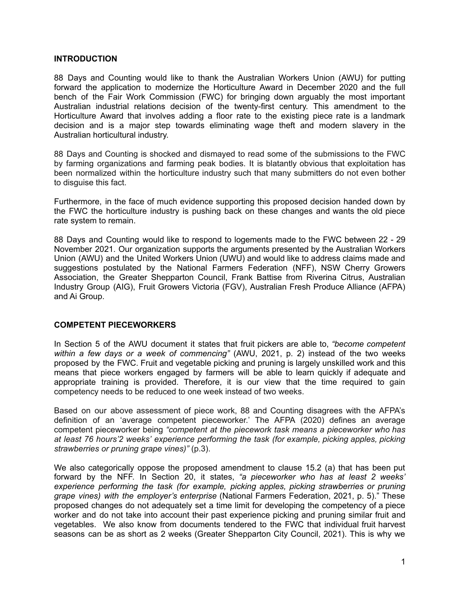#### **INTRODUCTION**

88 Days and Counting would like to thank the Australian Workers Union (AWU) for putting forward the application to modernize the Horticulture Award in December 2020 and the full bench of the Fair Work Commission (FWC) for bringing down arguably the most important Australian industrial relations decision of the twenty-first century. This amendment to the Horticulture Award that involves adding a floor rate to the existing piece rate is a landmark decision and is a major step towards eliminating wage theft and modern slavery in the Australian horticultural industry.

88 Days and Counting is shocked and dismayed to read some of the submissions to the FWC by farming organizations and farming peak bodies. It is blatantly obvious that exploitation has been normalized within the horticulture industry such that many submitters do not even bother to disguise this fact.

Furthermore, in the face of much evidence supporting this proposed decision handed down by the FWC the horticulture industry is pushing back on these changes and wants the old piece rate system to remain.

88 Days and Counting would like to respond to logements made to the FWC between 22 - 29 November 2021. Our organization supports the arguments presented by the Australian Workers Union (AWU) and the United Workers Union (UWU) and would like to address claims made and suggestions postulated by the National Farmers Federation (NFF), NSW Cherry Growers Association, the Greater Shepparton Council, Frank Battise from Riverina Citrus, Australian Industry Group (AIG), Fruit Growers Victoria (FGV), Australian Fresh Produce Alliance (AFPA) and Ai Group.

## **COMPETENT PIECEWORKERS**

In Section 5 of the AWU document it states that fruit pickers are able to, *"become competent within a few days or a week of commencing"* (AWU, 2021, p. 2) instead of the two weeks proposed by the FWC. Fruit and vegetable picking and pruning is largely unskilled work and this means that piece workers engaged by farmers will be able to learn quickly if adequate and appropriate training is provided. Therefore, it is our view that the time required to gain competency needs to be reduced to one week instead of two weeks.

Based on our above assessment of piece work, 88 and Counting disagrees with the AFPA's definition of an 'average competent pieceworker.' The AFPA (2020) defines an average competent pieceworker being *"competent at the piecework task means a pieceworker who has at least 76 hours'2 weeks' experience performing the task (for example, picking apples, picking strawberries or pruning grape vines)"* (p.3).

We also categorically oppose the proposed amendment to clause 15.2 (a) that has been put forward by the NFF. In Section 20, it states, *"a pieceworker who has at least 2 weeks' experience performing the task (for example, picking apples, picking strawberries or pruning grape vines) with the employer's enterprise* (National Farmers Federation, 2021, p. 5)." These proposed changes do not adequately set a time limit for developing the competency of a piece worker and do not take into account their past experience picking and pruning similar fruit and vegetables. We also know from documents tendered to the FWC that individual fruit harvest seasons can be as short as 2 weeks (Greater Shepparton City Council, 2021). This is why we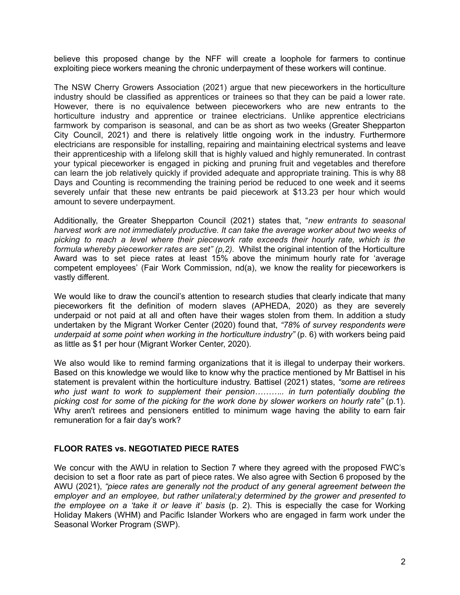believe this proposed change by the NFF will create a loophole for farmers to continue exploiting piece workers meaning the chronic underpayment of these workers will continue.

The NSW Cherry Growers Association (2021) argue that new pieceworkers in the horticulture industry should be classified as apprentices or trainees so that they can be paid a lower rate. However, there is no equivalence between pieceworkers who are new entrants to the horticulture industry and apprentice or trainee electricians. Unlike apprentice electricians farmwork by comparison is seasonal, and can be as short as two weeks (Greater Shepparton City Council, 2021) and there is relatively little ongoing work in the industry. Furthermore electricians are responsible for installing, repairing and maintaining electrical systems and leave their apprenticeship with a lifelong skill that is highly valued and highly remunerated. In contrast your typical pieceworker is engaged in picking and pruning fruit and vegetables and therefore can learn the job relatively quickly if provided adequate and appropriate training. This is why 88 Days and Counting is recommending the training period be reduced to one week and it seems severely unfair that these new entrants be paid piecework at \$13.23 per hour which would amount to severe underpayment.

Additionally, the Greater Shepparton Council (2021) states that, "*new entrants to seasonal harvest work are not immediately productive. It can take the average worker about two weeks of picking to reach a level where their piecework rate exceeds their hourly rate, which is the formula whereby pieceworker rates are set" (p,2).* Whilst the original intention of the Horticulture Award was to set piece rates at least 15% above the minimum hourly rate for 'average competent employees' (Fair Work Commission, nd(a), we know the reality for pieceworkers is vastly different.

We would like to draw the council's attention to research studies that clearly indicate that many pieceworkers fit the definition of modern slaves (APHEDA, 2020) as they are severely underpaid or not paid at all and often have their wages stolen from them. In addition a study undertaken by the Migrant Worker Center (2020) found that, *"78% of survey respondents were underpaid at some point when working in the horticulture industry"* (p. 6) with workers being paid as little as \$1 per hour (Migrant Worker Center, 2020).

We also would like to remind farming organizations that it is illegal to underpay their workers. Based on this knowledge we would like to know why the practice mentioned by Mr Battisel in his statement is prevalent within the horticulture industry. Battisel (2021) states, *"some are retirees who just want to work to supplement their pension……….. in turn potentially doubling the picking cost for some of the picking for the work done by slower workers on hourly rate"* (p.1). Why aren't retirees and pensioners entitled to minimum wage having the ability to earn fair remuneration for a fair day's work?

## **FLOOR RATES vs. NEGOTIATED PIECE RATES**

We concur with the AWU in relation to Section 7 where they agreed with the proposed FWC's decision to set a floor rate as part of piece rates. We also agree with Section 6 proposed by the AWU (2021), *"piece rates are generally not the product of any general agreement between the employer and an employee, but rather unilateral;y determined by the grower and presented to the employee on a 'take it or leave it' basis* (p. 2). This is especially the case for Working Holiday Makers (WHM) and Pacific Islander Workers who are engaged in farm work under the Seasonal Worker Program (SWP).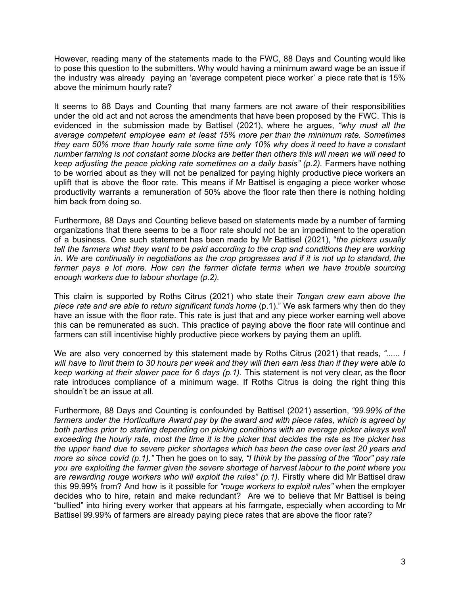However, reading many of the statements made to the FWC, 88 Days and Counting would like to pose this question to the submitters. Why would having a minimum award wage be an issue if the industry was already paying an 'average competent piece worker' a piece rate that is 15% above the minimum hourly rate?

It seems to 88 Days and Counting that many farmers are not aware of their responsibilities under the old act and not across the amendments that have been proposed by the FWC. This is evidenced in the submission made by Battisel (2021), where he argues, *"why must all the average competent employee earn at least 15% more per than the minimum rate. Sometimes they earn 50% more than hourly rate some time only 10% why does it need to have a constant number farming is not constant some blocks are better than others this will mean we will need to keep adjusting the peace picking rate sometimes on a daily basis" (p.2).* Farmers have nothing to be worried about as they will not be penalized for paying highly productive piece workers an uplift that is above the floor rate. This means if Mr Battisel is engaging a piece worker whose productivity warrants a remuneration of 50% above the floor rate then there is nothing holding him back from doing so.

Furthermore, 88 Days and Counting believe based on statements made by a number of farming organizations that there seems to be a floor rate should not be an impediment to the operation of a business. One such statement has been made by Mr Battisel (2021), "*the pickers usually tell the farmers what they want to be paid according to the crop and conditions they are working* in. We are continually in negotiations as the crop progresses and if it is not up to standard, the *farmer pays a lot more. How can the farmer dictate terms when we have trouble sourcing enough workers due to labour shortage (p.2).*

This claim is supported by Roths Citrus (2021) who state their *Tongan crew earn above the piece rate and are able to return significant funds home* (p.1)." We ask farmers why then do they have an issue with the floor rate. This rate is just that and any piece worker earning well above this can be remunerated as such. This practice of paying above the floor rate will continue and farmers can still incentivise highly productive piece workers by paying them an uplift.

We are also very concerned by this statement made by Roths Citrus (2021) that reads, *"...... I* will have to limit them to 30 hours per week and they will then earn less than if they were able to *keep working at their slower pace for 6 days (p.1).* This statement is not very clear, as the floor rate introduces compliance of a minimum wage. If Roths Citrus is doing the right thing this shouldn't be an issue at all.

Furthermore, 88 Days and Counting is confounded by Battisel (2021) assertion, *"99.99% of the farmers under the Horticulture Award pay by the award and with piece rates, which is agreed by both parties prior to starting depending on picking conditions with an average picker always well* exceeding the hourly rate, most the time it is the picker that decides the rate as the picker has *the upper hand due to severe picker shortages which has been the case over last 20 years and more so since covid (p.1)."* Then he goes on to say, *"I think by the passing of the "floor" pay rate you are exploiting the farmer given the severe shortage of harvest labour to the point where you are rewarding rouge workers who will exploit the rules" (p.1).* Firstly where did Mr Battisel draw this 99.99% from? And how is it possible for *"rouge workers to exploit rules"* when the employer decides who to hire, retain and make redundant? Are we to believe that Mr Battisel is being "bullied" into hiring every worker that appears at his farmgate, especially when according to Mr Battisel 99.99% of farmers are already paying piece rates that are above the floor rate?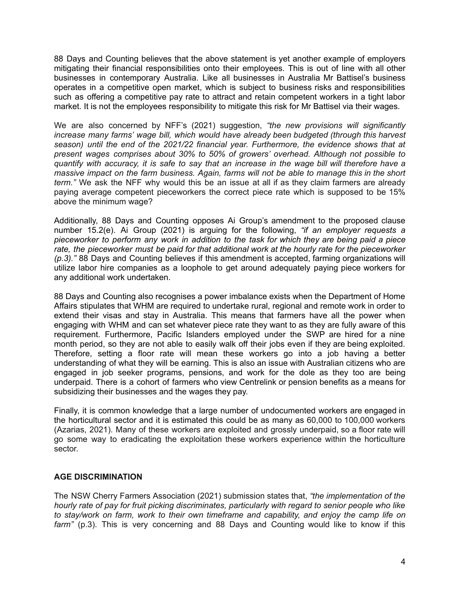88 Days and Counting believes that the above statement is yet another example of employers mitigating their financial responsibilities onto their employees. This is out of line with all other businesses in contemporary Australia. Like all businesses in Australia Mr Battisel's business operates in a competitive open market, which is subject to business risks and responsibilities such as offering a competitive pay rate to attract and retain competent workers in a tight labor market. It is not the employees responsibility to mitigate this risk for Mr Battisel via their wages.

We are also concerned by NFF's (2021) suggestion, *"the new provisions will significantly increase many farms' wage bill, which would have already been budgeted (through this harvest season) until the end of the 2021/22 financial year. Furthermore, the evidence shows that at present wages comprises about 30% to 50% of growers' overhead. Although not possible to* quantify with accuracy, it is safe to say that an increase in the wage bill will therefore have a *massive impact on the farm business. Again, farms will not be able to manage this in the short term."* We ask the NFF why would this be an issue at all if as they claim farmers are already paying average competent pieceworkers the correct piece rate which is supposed to be 15% above the minimum wage?

Additionally, 88 Days and Counting opposes Ai Group's amendment to the proposed clause number 15.2(e). Ai Group (2021) is arguing for the following, *"if an employer requests a pieceworker to perform any work in addition to the task for which they are being paid a piece rate, the pieceworker must be paid for that additional work at the hourly rate for the pieceworker (p.3)."* 88 Days and Counting believes if this amendment is accepted, farming organizations will utilize labor hire companies as a loophole to get around adequately paying piece workers for any additional work undertaken.

88 Days and Counting also recognises a power imbalance exists when the Department of Home Affairs stipulates that WHM are required to undertake rural, regional and remote work in order to extend their visas and stay in Australia. This means that farmers have all the power when engaging with WHM and can set whatever piece rate they want to as they are fully aware of this requirement. Furthermore, Pacific Islanders employed under the SWP are hired for a nine month period, so they are not able to easily walk off their jobs even if they are being exploited. Therefore, setting a floor rate will mean these workers go into a job having a better understanding of what they will be earning. This is also an issue with Australian citizens who are engaged in job seeker programs, pensions, and work for the dole as they too are being underpaid. There is a cohort of farmers who view Centrelink or pension benefits as a means for subsidizing their businesses and the wages they pay.

Finally, it is common knowledge that a large number of undocumented workers are engaged in the horticultural sector and it is estimated this could be as many as 60,000 to 100,000 workers (Azarias, 2021). Many of these workers are exploited and grossly underpaid, so a floor rate will go some way to eradicating the exploitation these workers experience within the horticulture sector.

## **AGE DISCRIMINATION**

The NSW Cherry Farmers Association (2021) submission states that, *"the implementation of the hourly rate of pay for fruit picking discriminates, particularly with regard to senior people who like to stay/work on farm, work to their own timeframe and capability, and enjoy the camp life on farm"* (p.3). This is very concerning and 88 Days and Counting would like to know if this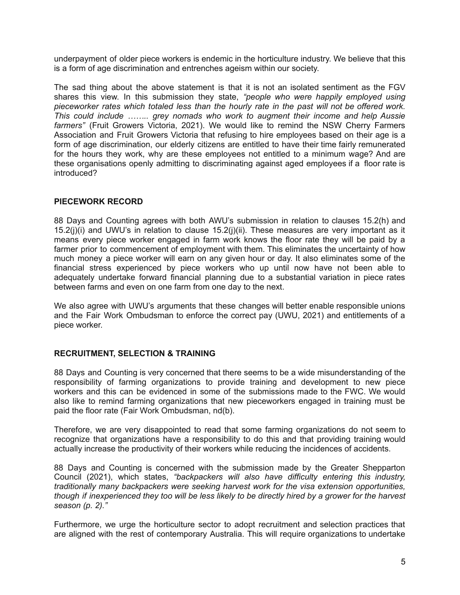underpayment of older piece workers is endemic in the horticulture industry. We believe that this is a form of age discrimination and entrenches ageism within our society.

The sad thing about the above statement is that it is not an isolated sentiment as the FGV shares this view. In this submission they state, *"people who were happily employed using pieceworker rates which totaled less than the hourly rate in the past will not be offered work. This could include …….. grey nomads who work to augment their income and help Aussie farmers"* (Fruit Growers Victoria, 2021). We would like to remind the NSW Cherry Farmers Association and Fruit Growers Victoria that refusing to hire employees based on their age is a form of age discrimination, our elderly citizens are entitled to have their time fairly remunerated for the hours they work, why are these employees not entitled to a minimum wage? And are these organisations openly admitting to discriminating against aged employees if a floor rate is introduced?

## **PIECEWORK RECORD**

88 Days and Counting agrees with both AWU's submission in relation to clauses 15.2(h) and 15.2(j)(i) and UWU's in relation to clause 15.2(j)(ii). These measures are very important as it means every piece worker engaged in farm work knows the floor rate they will be paid by a farmer prior to commencement of employment with them. This eliminates the uncertainty of how much money a piece worker will earn on any given hour or day. It also eliminates some of the financial stress experienced by piece workers who up until now have not been able to adequately undertake forward financial planning due to a substantial variation in piece rates between farms and even on one farm from one day to the next.

We also agree with UWU's arguments that these changes will better enable responsible unions and the Fair Work Ombudsman to enforce the correct pay (UWU, 2021) and entitlements of a piece worker.

## **RECRUITMENT, SELECTION & TRAINING**

88 Days and Counting is very concerned that there seems to be a wide misunderstanding of the responsibility of farming organizations to provide training and development to new piece workers and this can be evidenced in some of the submissions made to the FWC. We would also like to remind farming organizations that new pieceworkers engaged in training must be paid the floor rate (Fair Work Ombudsman, nd(b).

Therefore, we are very disappointed to read that some farming organizations do not seem to recognize that organizations have a responsibility to do this and that providing training would actually increase the productivity of their workers while reducing the incidences of accidents.

88 Days and Counting is concerned with the submission made by the Greater Shepparton Council (2021), which states, *"backpackers will also have difficulty entering this industry, traditionally many backpackers were seeking harvest work for the visa extension opportunities,* though if inexperienced they too will be less likely to be directly hired by a grower for the harvest *season (p. 2)."*

Furthermore, we urge the horticulture sector to adopt recruitment and selection practices that are aligned with the rest of contemporary Australia. This will require organizations to undertake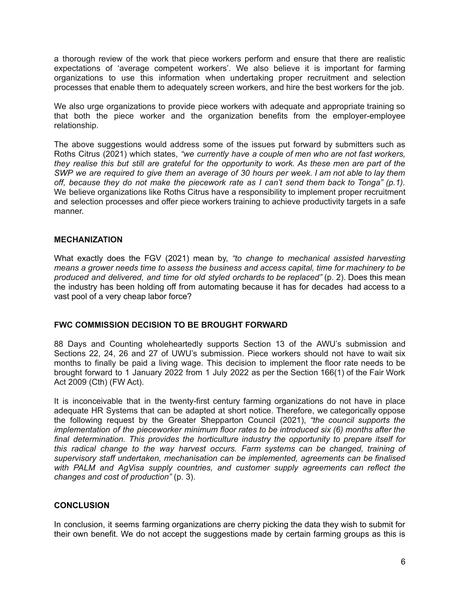a thorough review of the work that piece workers perform and ensure that there are realistic expectations of 'average competent workers'. We also believe it is important for farming organizations to use this information when undertaking proper recruitment and selection processes that enable them to adequately screen workers, and hire the best workers for the job.

We also urge organizations to provide piece workers with adequate and appropriate training so that both the piece worker and the organization benefits from the employer-employee relationship.

The above suggestions would address some of the issues put forward by submitters such as Roths Citrus (2021) which states, *"we currently have a couple of men who are not fast workers,* they realise this but still are grateful for the opportunity to work. As these men are part of the SWP we are required to give them an average of 30 hours per week. I am not able to lay them *off, because they do not make the piecework rate as I can't send them back to Tonga" (p.1).* We believe organizations like Roths Citrus have a responsibility to implement proper recruitment and selection processes and offer piece workers training to achieve productivity targets in a safe manner.

#### **MECHANIZATION**

What exactly does the FGV (2021) mean by, *"to change to mechanical assisted harvesting means a grower needs time to assess the business and access capital, time for machinery to be produced and delivered, and time for old styled orchards to be replaced"* (p. 2). Does this mean the industry has been holding off from automating because it has for decades had access to a vast pool of a very cheap labor force?

## **FWC COMMISSION DECISION TO BE BROUGHT FORWARD**

88 Days and Counting wholeheartedly supports Section 13 of the AWU's submission and Sections 22, 24, 26 and 27 of UWU's submission. Piece workers should not have to wait six months to finally be paid a living wage. This decision to implement the floor rate needs to be brought forward to 1 January 2022 from 1 July 2022 as per the Section 166(1) of the Fair Work Act 2009 (Cth) (FW Act).

It is inconceivable that in the twenty-first century farming organizations do not have in place adequate HR Systems that can be adapted at short notice. Therefore, we categorically oppose the following request by the Greater Shepparton Council (2021), *"the council supports the implementation of the pieceworker minimum floor rates to be introduced six (6) months after the final determination. This provides the horticulture industry the opportunity to prepare itself for this radical change to the way harvest occurs. Farm systems can be changed, training of supervisory staff undertaken, mechanisation can be implemented, agreements can be finalised with PALM and AgVisa supply countries, and customer supply agreements can reflect the changes and cost of production"* (p. 3).

## **CONCLUSION**

In conclusion, it seems farming organizations are cherry picking the data they wish to submit for their own benefit. We do not accept the suggestions made by certain farming groups as this is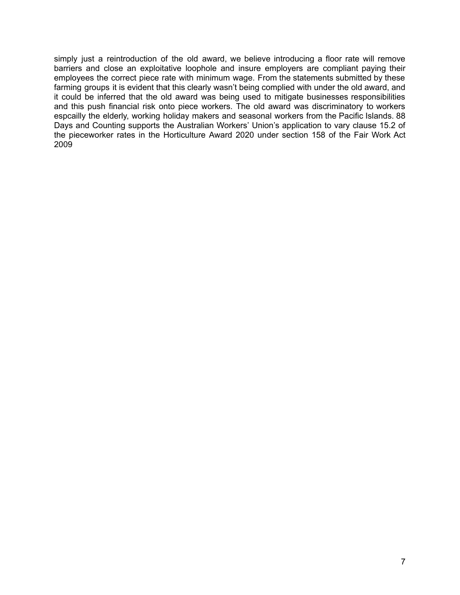simply just a reintroduction of the old award, we believe introducing a floor rate will remove barriers and close an exploitative loophole and insure employers are compliant paying their employees the correct piece rate with minimum wage. From the statements submitted by these farming groups it is evident that this clearly wasn't being complied with under the old award, and it could be inferred that the old award was being used to mitigate businesses responsibilities and this push financial risk onto piece workers. The old award was discriminatory to workers espcailly the elderly, working holiday makers and seasonal workers from the Pacific Islands. 88 Days and Counting supports the Australian Workers' Union's application to vary clause 15.2 of the pieceworker rates in the Horticulture Award 2020 under section 158 of the Fair Work Act 2009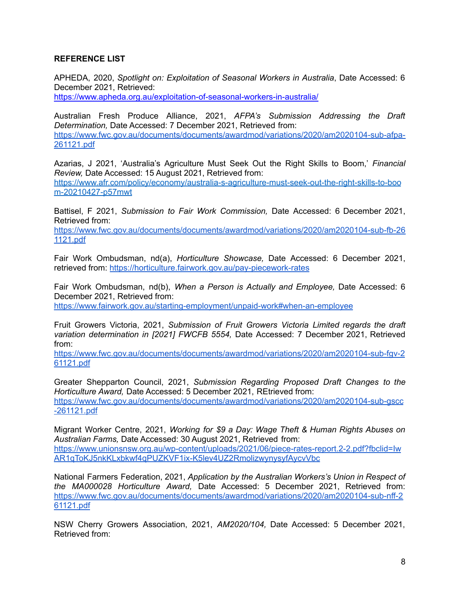# **REFERENCE LIST**

APHEDA, 2020, *Spotlight on: Exploitation of Seasonal Workers in Australia*, Date Accessed: 6 December 2021, Retrieved:

<https://www.apheda.org.au/exploitation-of-seasonal-workers-in-australia/>

Australian Fresh Produce Alliance, 2021, *AFPA's Submission Addressing the Draft Determination,* Date Accessed: 7 December 2021, Retrieved from: [https://www.fwc.gov.au/documents/documents/awardmod/variations/2020/am2020104-sub-afpa-](https://www.fwc.gov.au/documents/documents/awardmod/variations/2020/am2020104-sub-afpa-261121.pdf)[261121.pdf](https://www.fwc.gov.au/documents/documents/awardmod/variations/2020/am2020104-sub-afpa-261121.pdf)

Azarias, J 2021, 'Australia's Agriculture Must Seek Out the Right Skills to Boom,' *Financial Review,* Date Accessed: 15 August 2021, Retrieved from: [https://www.afr.com/policy/economy/australia-s-agriculture-must-seek-out-the-right-skills-to-boo](https://www.afr.com/policy/economy/australia-s-agriculture-must-seek-out-the-right-skills-to-boom-20210427-p57mwt) [m-20210427-p57mwt](https://www.afr.com/policy/economy/australia-s-agriculture-must-seek-out-the-right-skills-to-boom-20210427-p57mwt)

Battisel, F 2021, *Submission to Fair Work Commission,* Date Accessed: 6 December 2021, Retrieved from:

[https://www.fwc.gov.au/documents/documents/awardmod/variations/2020/am2020104-sub-fb-26](https://www.fwc.gov.au/documents/documents/awardmod/variations/2020/am2020104-sub-fb-261121.pdf) [1121.pdf](https://www.fwc.gov.au/documents/documents/awardmod/variations/2020/am2020104-sub-fb-261121.pdf)

Fair Work Ombudsman, nd(a), *Horticulture Showcase,* Date Accessed: 6 December 2021, retrieved from: <https://horticulture.fairwork.gov.au/pay-piecework-rates>

Fair Work Ombudsman, nd(b), *When a Person is Actually and Employee,* Date Accessed: 6 December 2021, Retrieved from: <https://www.fairwork.gov.au/starting-employment/unpaid-work#when-an-employee>

Fruit Growers Victoria, 2021, *Submission of Fruit Growers Victoria Limited regards the draft variation determination in [2021] FWCFB 5554,* Date Accessed: 7 December 2021, Retrieved from:

[https://www.fwc.gov.au/documents/documents/awardmod/variations/2020/am2020104-sub-fgv-2](https://www.fwc.gov.au/documents/documents/awardmod/variations/2020/am2020104-sub-fgv-261121.pdf) [61121.pdf](https://www.fwc.gov.au/documents/documents/awardmod/variations/2020/am2020104-sub-fgv-261121.pdf)

Greater Shepparton Council, 2021, *Submission Regarding Proposed Draft Changes to the Horticulture Award,* Date Accessed: 5 December 2021, REtrieved from: [https://www.fwc.gov.au/documents/documents/awardmod/variations/2020/am2020104-sub-gscc](https://www.fwc.gov.au/documents/documents/awardmod/variations/2020/am2020104-sub-gscc-261121.pdf) [-261121.pdf](https://www.fwc.gov.au/documents/documents/awardmod/variations/2020/am2020104-sub-gscc-261121.pdf)

Migrant Worker Centre, 2021, *Working for \$9 a Day: Wage Theft & Human Rights Abuses on Australian Farms,* Date Accessed: 30 August 2021, Retrieved from:

[https://www.unionsnsw.org.au/wp-content/uploads/2021/06/piece-rates-report.2-2.pdf?fbclid=Iw](https://www.unionsnsw.org.au/wp-content/uploads/2021/06/piece-rates-report.2-2.pdf?fbclid=IwAR1qToKJ5nkKLxbkwf4qPUZKVF1ix-K5lev4UZ2RmolizwynysyfAycvVbc) [AR1qToKJ5nkKLxbkwf4qPUZKVF1ix-K5lev4UZ2RmolizwynysyfAycvVbc](https://www.unionsnsw.org.au/wp-content/uploads/2021/06/piece-rates-report.2-2.pdf?fbclid=IwAR1qToKJ5nkKLxbkwf4qPUZKVF1ix-K5lev4UZ2RmolizwynysyfAycvVbc)

National Farmers Federation, 2021, *Application by the Australian Workers's Union in Respect of the MA000028 Horticulture Award,* Date Accessed: 5 December 2021, Retrieved from: [https://www.fwc.gov.au/documents/documents/awardmod/variations/2020/am2020104-sub-nff-2](https://www.fwc.gov.au/documents/documents/awardmod/variations/2020/am2020104-sub-nff-261121.pdf) [61121.pdf](https://www.fwc.gov.au/documents/documents/awardmod/variations/2020/am2020104-sub-nff-261121.pdf)

NSW Cherry Growers Association, 2021, *AM2020/104,* Date Accessed: 5 December 2021, Retrieved from: